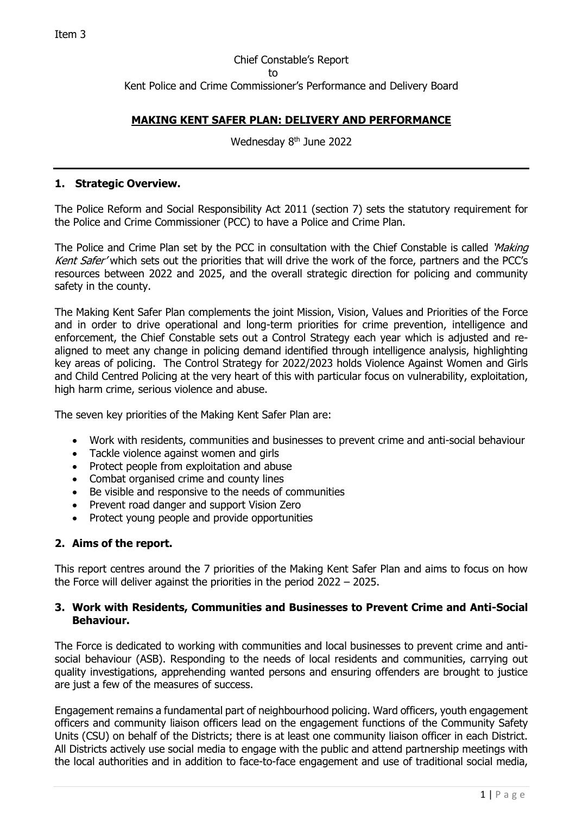# Chief Constable's Report to Kent Police and Crime Commissioner's Performance and Delivery Board

# **MAKING KENT SAFER PLAN: DELIVERY AND PERFORMANCE**

Wednesday 8<sup>th</sup> June 2022

#### **1. Strategic Overview.**

The Police Reform and Social Responsibility Act 2011 (section 7) sets the statutory requirement for the Police and Crime Commissioner (PCC) to have a Police and Crime Plan.

The Police and Crime Plan set by the PCC in consultation with the Chief Constable is called 'Making Kent Safer' which sets out the priorities that will drive the work of the force, partners and the PCC's resources between 2022 and 2025, and the overall strategic direction for policing and community safety in the county.

The Making Kent Safer Plan complements the joint Mission, Vision, Values and Priorities of the Force and in order to drive operational and long-term priorities for crime prevention, intelligence and enforcement, the Chief Constable sets out a Control Strategy each year which is adjusted and realigned to meet any change in policing demand identified through intelligence analysis, highlighting key areas of policing. The Control Strategy for 2022/2023 holds Violence Against Women and Girls and Child Centred Policing at the very heart of this with particular focus on vulnerability, exploitation, high harm crime, serious violence and abuse.

The seven key priorities of the Making Kent Safer Plan are:

- Work with residents, communities and businesses to prevent crime and anti-social behaviour
- Tackle violence against women and girls
- Protect people from exploitation and abuse
- Combat organised crime and county lines
- Be visible and responsive to the needs of communities
- Prevent road danger and support Vision Zero
- Protect young people and provide opportunities

### **2. Aims of the report.**

This report centres around the 7 priorities of the Making Kent Safer Plan and aims to focus on how the Force will deliver against the priorities in the period 2022 – 2025.

#### **3. Work with Residents, Communities and Businesses to Prevent Crime and Anti-Social Behaviour.**

The Force is dedicated to working with communities and local businesses to prevent crime and antisocial behaviour (ASB). Responding to the needs of local residents and communities, carrying out quality investigations, apprehending wanted persons and ensuring offenders are brought to justice are just a few of the measures of success.

Engagement remains a fundamental part of neighbourhood policing. Ward officers, youth engagement officers and community liaison officers lead on the engagement functions of the Community Safety Units (CSU) on behalf of the Districts; there is at least one community liaison officer in each District. All Districts actively use social media to engage with the public and attend partnership meetings with the local authorities and in addition to face-to-face engagement and use of traditional social media,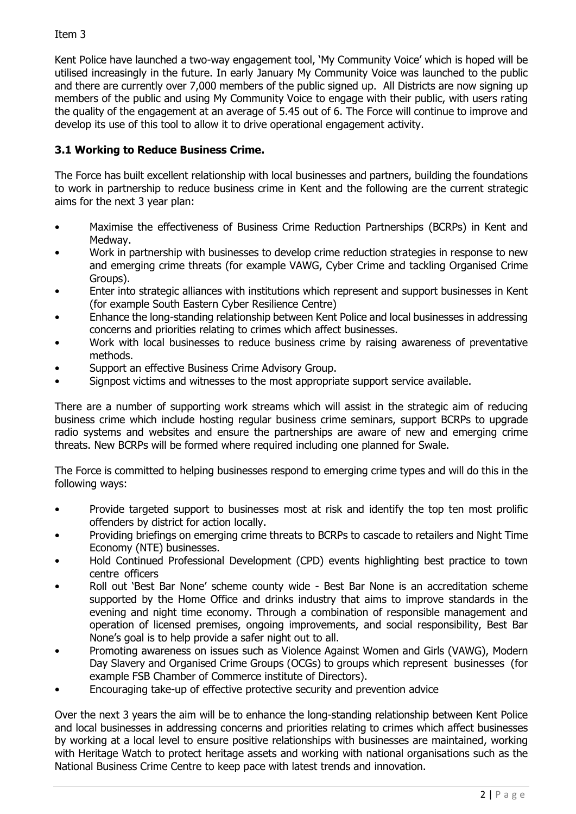Kent Police have launched a two-way engagement tool, 'My Community Voice' which is hoped will be utilised increasingly in the future. In early January My Community Voice was launched to the public and there are currently over 7,000 members of the public signed up. All Districts are now signing up members of the public and using My Community Voice to engage with their public, with users rating the quality of the engagement at an average of 5.45 out of 6. The Force will continue to improve and develop its use of this tool to allow it to drive operational engagement activity.

# **3.1 Working to Reduce Business Crime.**

The Force has built excellent relationship with local businesses and partners, building the foundations to work in partnership to reduce business crime in Kent and the following are the current strategic aims for the next 3 year plan:

- Maximise the effectiveness of Business Crime Reduction Partnerships (BCRPs) in Kent and Medway.
- Work in partnership with businesses to develop crime reduction strategies in response to new and emerging crime threats (for example VAWG, Cyber Crime and tackling Organised Crime Groups).
- Enter into strategic alliances with institutions which represent and support businesses in Kent (for example South Eastern Cyber Resilience Centre)
- Enhance the long-standing relationship between Kent Police and local businesses in addressing concerns and priorities relating to crimes which affect businesses.
- Work with local businesses to reduce business crime by raising awareness of preventative methods.
- Support an effective Business Crime Advisory Group.
- Signpost victims and witnesses to the most appropriate support service available.

There are a number of supporting work streams which will assist in the strategic aim of reducing business crime which include hosting regular business crime seminars, support BCRPs to upgrade radio systems and websites and ensure the partnerships are aware of new and emerging crime threats. New BCRPs will be formed where required including one planned for Swale.

The Force is committed to helping businesses respond to emerging crime types and will do this in the following ways:

- Provide targeted support to businesses most at risk and identify the top ten most prolific offenders by district for action locally.
- Providing briefings on emerging crime threats to BCRPs to cascade to retailers and Night Time Economy (NTE) businesses.
- Hold Continued Professional Development (CPD) events highlighting best practice to town centre officers
- Roll out 'Best Bar None' scheme county wide Best Bar None is an accreditation scheme supported by the Home Office and drinks industry that aims to improve standards in the evening and night time economy. Through a combination of responsible management and operation of licensed premises, ongoing improvements, and social responsibility, Best Bar None's goal is to help provide a safer night out to all.
- Promoting awareness on issues such as Violence Against Women and Girls (VAWG), Modern Day Slavery and Organised Crime Groups (OCGs) to groups which represent businesses (for example FSB Chamber of Commerce institute of Directors).
- Encouraging take-up of effective protective security and prevention advice

Over the next 3 years the aim will be to enhance the long-standing relationship between Kent Police and local businesses in addressing concerns and priorities relating to crimes which affect businesses by working at a local level to ensure positive relationships with businesses are maintained, working with Heritage Watch to protect heritage assets and working with national organisations such as the National Business Crime Centre to keep pace with latest trends and innovation.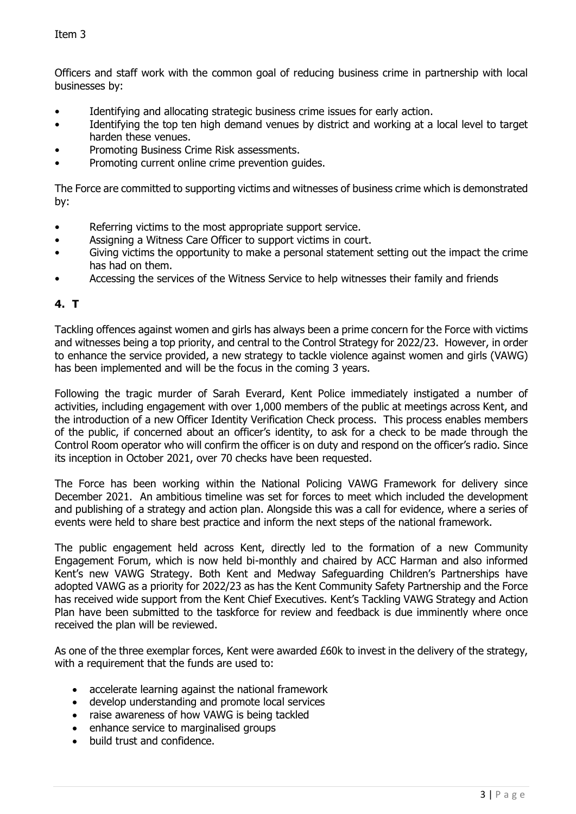Officers and staff work with the common goal of reducing business crime in partnership with local businesses by:

- Identifying and allocating strategic business crime issues for early action.
- Identifying the top ten high demand venues by district and working at a local level to target harden these venues.
- Promoting Business Crime Risk assessments.
- Promoting current online crime prevention guides.

The Force are committed to supporting victims and witnesses of business crime which is demonstrated by:

- Referring victims to the most appropriate support service.
- Assigning a Witness Care Officer to support victims in court.
- Giving victims the opportunity to make a personal statement setting out the impact the crime has had on them.
- Accessing the services of the Witness Service to help witnesses their family and friends

### **4. T**

Tackling offences against women and girls has always been a prime concern for the Force with victims and witnesses being a top priority, and central to the Control Strategy for 2022/23. However, in order to enhance the service provided, a new strategy to tackle violence against women and girls (VAWG) has been implemented and will be the focus in the coming 3 years.

Following the tragic murder of Sarah Everard, Kent Police immediately instigated a number of activities, including engagement with over 1,000 members of the public at meetings across Kent, and the introduction of a new Officer Identity Verification Check process. This process enables members of the public, if concerned about an officer's identity, to ask for a check to be made through the Control Room operator who will confirm the officer is on duty and respond on the officer's radio. Since its inception in October 2021, over 70 checks have been requested.

The Force has been working within the National Policing VAWG Framework for delivery since December 2021. An ambitious timeline was set for forces to meet which included the development and publishing of a strategy and action plan. Alongside this was a call for evidence, where a series of events were held to share best practice and inform the next steps of the national framework.

The public engagement held across Kent, directly led to the formation of a new Community Engagement Forum, which is now held bi-monthly and chaired by ACC Harman and also informed Kent's new VAWG Strategy. Both Kent and Medway Safeguarding Children's Partnerships have adopted VAWG as a priority for 2022/23 as has the Kent Community Safety Partnership and the Force has received wide support from the Kent Chief Executives. Kent's Tackling VAWG Strategy and Action Plan have been submitted to the taskforce for review and feedback is due imminently where once received the plan will be reviewed.

As one of the three exemplar forces, Kent were awarded £60k to invest in the delivery of the strategy, with a requirement that the funds are used to:

- accelerate learning against the national framework
- develop understanding and promote local services
- raise awareness of how VAWG is being tackled
- enhance service to marginalised groups
- build trust and confidence.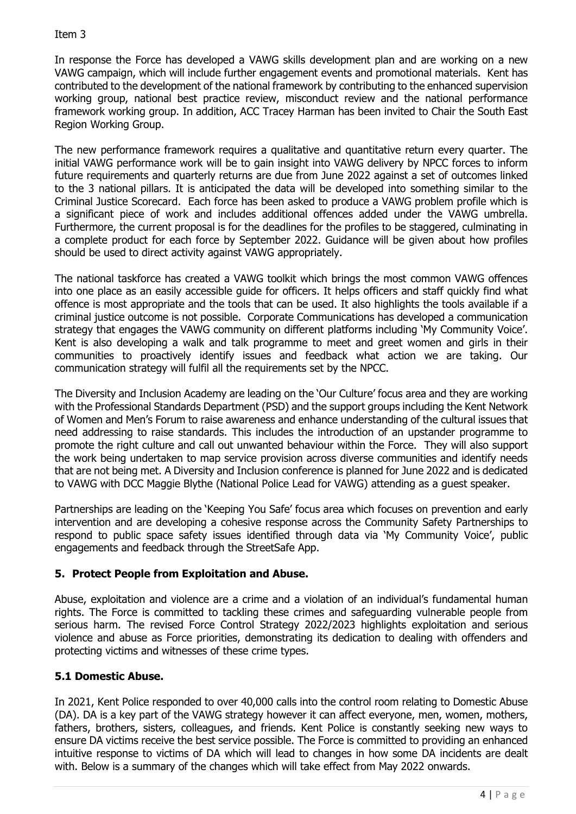In response the Force has developed a VAWG skills development plan and are working on a new VAWG campaign, which will include further engagement events and promotional materials. Kent has contributed to the development of the national framework by contributing to the enhanced supervision working group, national best practice review, misconduct review and the national performance framework working group. In addition, ACC Tracey Harman has been invited to Chair the South East Region Working Group.

The new performance framework requires a qualitative and quantitative return every quarter. The initial VAWG performance work will be to gain insight into VAWG delivery by NPCC forces to inform future requirements and quarterly returns are due from June 2022 against a set of outcomes linked to the 3 national pillars. It is anticipated the data will be developed into something similar to the Criminal Justice Scorecard. Each force has been asked to produce a VAWG problem profile which is a significant piece of work and includes additional offences added under the VAWG umbrella. Furthermore, the current proposal is for the deadlines for the profiles to be staggered, culminating in a complete product for each force by September 2022. Guidance will be given about how profiles should be used to direct activity against VAWG appropriately.

The national taskforce has created a VAWG toolkit which brings the most common VAWG offences into one place as an easily accessible guide for officers. It helps officers and staff quickly find what offence is most appropriate and the tools that can be used. It also highlights the tools available if a criminal justice outcome is not possible. Corporate Communications has developed a communication strategy that engages the VAWG community on different platforms including 'My Community Voice'. Kent is also developing a walk and talk programme to meet and greet women and girls in their communities to proactively identify issues and feedback what action we are taking. Our communication strategy will fulfil all the requirements set by the NPCC.

The Diversity and Inclusion Academy are leading on the 'Our Culture' focus area and they are working with the Professional Standards Department (PSD) and the support groups including the Kent Network of Women and Men's Forum to raise awareness and enhance understanding of the cultural issues that need addressing to raise standards. This includes the introduction of an upstander programme to promote the right culture and call out unwanted behaviour within the Force. They will also support the work being undertaken to map service provision across diverse communities and identify needs that are not being met. A Diversity and Inclusion conference is planned for June 2022 and is dedicated to VAWG with DCC Maggie Blythe (National Police Lead for VAWG) attending as a guest speaker.

Partnerships are leading on the 'Keeping You Safe' focus area which focuses on prevention and early intervention and are developing a cohesive response across the Community Safety Partnerships to respond to public space safety issues identified through data via 'My Community Voice', public engagements and feedback through the StreetSafe App.

# **5. Protect People from Exploitation and Abuse.**

Abuse, exploitation and violence are a crime and a violation of an individual's fundamental human rights. The Force is committed to tackling these crimes and safeguarding vulnerable people from serious harm. The revised Force Control Strategy 2022/2023 highlights exploitation and serious violence and abuse as Force priorities, demonstrating its dedication to dealing with offenders and protecting victims and witnesses of these crime types.

# **5.1 Domestic Abuse.**

In 2021, Kent Police responded to over 40,000 calls into the control room relating to Domestic Abuse (DA). DA is a key part of the VAWG strategy however it can affect everyone, men, women, mothers, fathers, brothers, sisters, colleagues, and friends. Kent Police is constantly seeking new ways to ensure DA victims receive the best service possible. The Force is committed to providing an enhanced intuitive response to victims of DA which will lead to changes in how some DA incidents are dealt with. Below is a summary of the changes which will take effect from May 2022 onwards.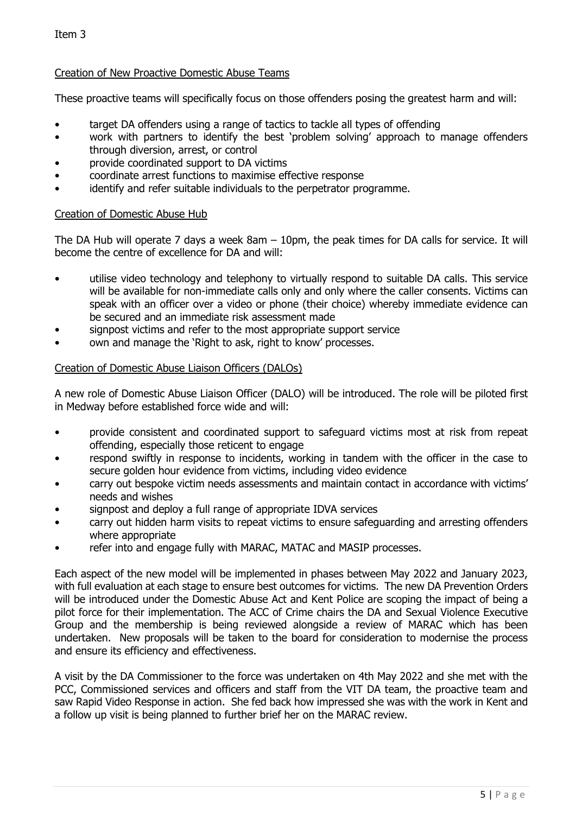#### Creation of New Proactive Domestic Abuse Teams

These proactive teams will specifically focus on those offenders posing the greatest harm and will:

- target DA offenders using a range of tactics to tackle all types of offending
- work with partners to identify the best 'problem solving' approach to manage offenders through diversion, arrest, or control
- provide coordinated support to DA victims
- coordinate arrest functions to maximise effective response
- identify and refer suitable individuals to the perpetrator programme.

#### Creation of Domestic Abuse Hub

The DA Hub will operate 7 days a week 8am – 10pm, the peak times for DA calls for service. It will become the centre of excellence for DA and will:

- utilise video technology and telephony to virtually respond to suitable DA calls. This service will be available for non-immediate calls only and only where the caller consents. Victims can speak with an officer over a video or phone (their choice) whereby immediate evidence can be secured and an immediate risk assessment made
- signpost victims and refer to the most appropriate support service
- own and manage the 'Right to ask, right to know' processes.

#### Creation of Domestic Abuse Liaison Officers (DALOs)

A new role of Domestic Abuse Liaison Officer (DALO) will be introduced. The role will be piloted first in Medway before established force wide and will:

- provide consistent and coordinated support to safeguard victims most at risk from repeat offending, especially those reticent to engage
- respond swiftly in response to incidents, working in tandem with the officer in the case to secure golden hour evidence from victims, including video evidence
- carry out bespoke victim needs assessments and maintain contact in accordance with victims' needs and wishes
- signpost and deploy a full range of appropriate IDVA services
- carry out hidden harm visits to repeat victims to ensure safeguarding and arresting offenders where appropriate
- refer into and engage fully with MARAC, MATAC and MASIP processes.

Each aspect of the new model will be implemented in phases between May 2022 and January 2023, with full evaluation at each stage to ensure best outcomes for victims. The new DA Prevention Orders will be introduced under the Domestic Abuse Act and Kent Police are scoping the impact of being a pilot force for their implementation. The ACC of Crime chairs the DA and Sexual Violence Executive Group and the membership is being reviewed alongside a review of MARAC which has been undertaken. New proposals will be taken to the board for consideration to modernise the process and ensure its efficiency and effectiveness.

A visit by the DA Commissioner to the force was undertaken on 4th May 2022 and she met with the PCC, Commissioned services and officers and staff from the VIT DA team, the proactive team and saw Rapid Video Response in action. She fed back how impressed she was with the work in Kent and a follow up visit is being planned to further brief her on the MARAC review.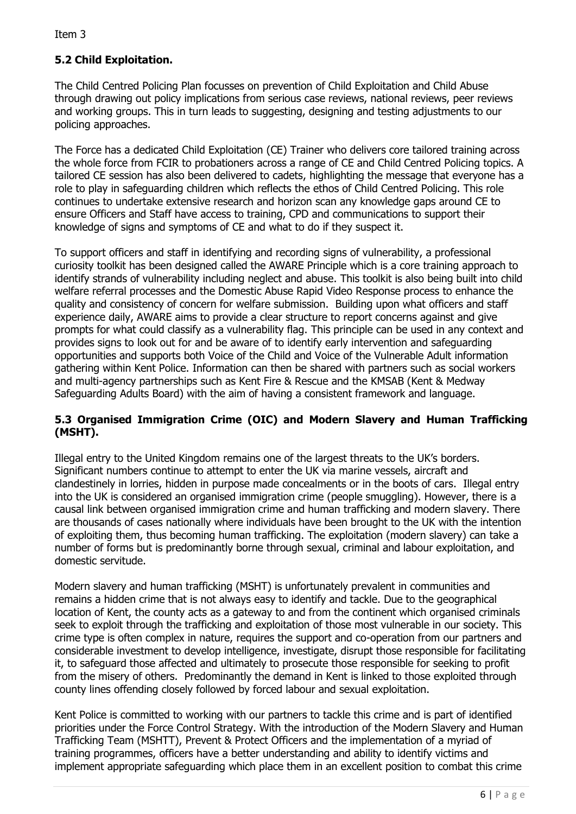# **5.2 Child Exploitation.**

The Child Centred Policing Plan focusses on prevention of Child Exploitation and Child Abuse through drawing out policy implications from serious case reviews, national reviews, peer reviews and working groups. This in turn leads to suggesting, designing and testing adjustments to our policing approaches.

The Force has a dedicated Child Exploitation (CE) Trainer who delivers core tailored training across the whole force from FCIR to probationers across a range of CE and Child Centred Policing topics. A tailored CE session has also been delivered to cadets, highlighting the message that everyone has a role to play in safeguarding children which reflects the ethos of Child Centred Policing. This role continues to undertake extensive research and horizon scan any knowledge gaps around CE to ensure Officers and Staff have access to training, CPD and communications to support their knowledge of signs and symptoms of CE and what to do if they suspect it.

To support officers and staff in identifying and recording signs of vulnerability, a professional curiosity toolkit has been designed called the AWARE Principle which is a core training approach to identify strands of vulnerability including neglect and abuse. This toolkit is also being built into child welfare referral processes and the Domestic Abuse Rapid Video Response process to enhance the quality and consistency of concern for welfare submission. Building upon what officers and staff experience daily, AWARE aims to provide a clear structure to report concerns against and give prompts for what could classify as a vulnerability flag. This principle can be used in any context and provides signs to look out for and be aware of to identify early intervention and safeguarding opportunities and supports both Voice of the Child and Voice of the Vulnerable Adult information gathering within Kent Police. Information can then be shared with partners such as social workers and multi-agency partnerships such as Kent Fire & Rescue and the KMSAB (Kent & Medway Safeguarding Adults Board) with the aim of having a consistent framework and language.

### **5.3 Organised Immigration Crime (OIC) and Modern Slavery and Human Trafficking (MSHT).**

Illegal entry to the United Kingdom remains one of the largest threats to the UK's borders. Significant numbers continue to attempt to enter the UK via marine vessels, aircraft and clandestinely in lorries, hidden in purpose made concealments or in the boots of cars. Illegal entry into the UK is considered an organised immigration crime (people smuggling). However, there is a causal link between organised immigration crime and human trafficking and modern slavery. There are thousands of cases nationally where individuals have been brought to the UK with the intention of exploiting them, thus becoming human trafficking. The exploitation (modern slavery) can take a number of forms but is predominantly borne through sexual, criminal and labour exploitation, and domestic servitude.

Modern slavery and human trafficking (MSHT) is unfortunately prevalent in communities and remains a hidden crime that is not always easy to identify and tackle. Due to the geographical location of Kent, the county acts as a gateway to and from the continent which organised criminals seek to exploit through the trafficking and exploitation of those most vulnerable in our society. This crime type is often complex in nature, requires the support and co-operation from our partners and considerable investment to develop intelligence, investigate, disrupt those responsible for facilitating it, to safeguard those affected and ultimately to prosecute those responsible for seeking to profit from the misery of others. Predominantly the demand in Kent is linked to those exploited through county lines offending closely followed by forced labour and sexual exploitation.

Kent Police is committed to working with our partners to tackle this crime and is part of identified priorities under the Force Control Strategy. With the introduction of the Modern Slavery and Human Trafficking Team (MSHTT), Prevent & Protect Officers and the implementation of a myriad of training programmes, officers have a better understanding and ability to identify victims and implement appropriate safeguarding which place them in an excellent position to combat this crime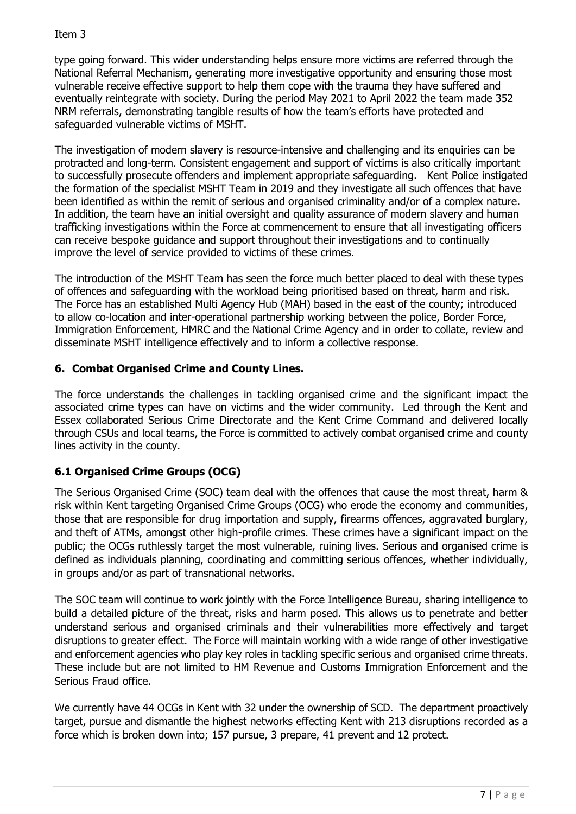type going forward. This wider understanding helps ensure more victims are referred through the National Referral Mechanism, generating more investigative opportunity and ensuring those most vulnerable receive effective support to help them cope with the trauma they have suffered and eventually reintegrate with society. During the period May 2021 to April 2022 the team made 352 NRM referrals, demonstrating tangible results of how the team's efforts have protected and safeguarded vulnerable victims of MSHT.

The investigation of modern slavery is resource-intensive and challenging and its enquiries can be protracted and long-term. Consistent engagement and support of victims is also critically important to successfully prosecute offenders and implement appropriate safeguarding. Kent Police instigated the formation of the specialist MSHT Team in 2019 and they investigate all such offences that have been identified as within the remit of serious and organised criminality and/or of a complex nature. In addition, the team have an initial oversight and quality assurance of modern slavery and human trafficking investigations within the Force at commencement to ensure that all investigating officers can receive bespoke guidance and support throughout their investigations and to continually improve the level of service provided to victims of these crimes.

The introduction of the MSHT Team has seen the force much better placed to deal with these types of offences and safeguarding with the workload being prioritised based on threat, harm and risk. The Force has an established Multi Agency Hub (MAH) based in the east of the county; introduced to allow co-location and inter-operational partnership working between the police, Border Force, Immigration Enforcement, HMRC and the National Crime Agency and in order to collate, review and disseminate MSHT intelligence effectively and to inform a collective response.

# **6. Combat Organised Crime and County Lines.**

The force understands the challenges in tackling organised crime and the significant impact the associated crime types can have on victims and the wider community. Led through the Kent and Essex collaborated Serious Crime Directorate and the Kent Crime Command and delivered locally through CSUs and local teams, the Force is committed to actively combat organised crime and county lines activity in the county.

# **6.1 Organised Crime Groups (OCG)**

The Serious Organised Crime (SOC) team deal with the offences that cause the most threat, harm & risk within Kent targeting Organised Crime Groups (OCG) who erode the economy and communities, those that are responsible for drug importation and supply, firearms offences, aggravated burglary, and theft of ATMs, amongst other high-profile crimes. These crimes have a significant impact on the public; the OCGs ruthlessly target the most vulnerable, ruining lives. Serious and organised crime is defined as individuals planning, coordinating and committing serious offences, whether individually, in groups and/or as part of transnational networks.

The SOC team will continue to work jointly with the Force Intelligence Bureau, sharing intelligence to build a detailed picture of the threat, risks and harm posed. This allows us to penetrate and better understand serious and organised criminals and their vulnerabilities more effectively and target disruptions to greater effect. The Force will maintain working with a wide range of other investigative and enforcement agencies who play key roles in tackling specific serious and organised crime threats. These include but are not limited to HM Revenue and Customs Immigration Enforcement and the Serious Fraud office.

We currently have 44 OCGs in Kent with 32 under the ownership of SCD. The department proactively target, pursue and dismantle the highest networks effecting Kent with 213 disruptions recorded as a force which is broken down into; 157 pursue, 3 prepare, 41 prevent and 12 protect.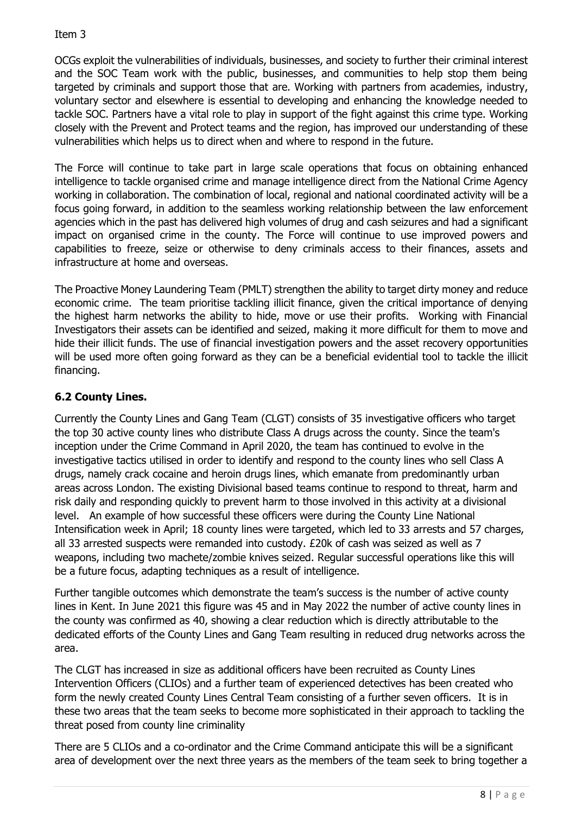OCGs exploit the vulnerabilities of individuals, businesses, and society to further their criminal interest and the SOC Team work with the public, businesses, and communities to help stop them being targeted by criminals and support those that are. Working with partners from academies, industry, voluntary sector and elsewhere is essential to developing and enhancing the knowledge needed to tackle SOC. Partners have a vital role to play in support of the fight against this crime type. Working closely with the Prevent and Protect teams and the region, has improved our understanding of these vulnerabilities which helps us to direct when and where to respond in the future.

The Force will continue to take part in large scale operations that focus on obtaining enhanced intelligence to tackle organised crime and manage intelligence direct from the National Crime Agency working in collaboration. The combination of local, regional and national coordinated activity will be a focus going forward, in addition to the seamless working relationship between the law enforcement agencies which in the past has delivered high volumes of drug and cash seizures and had a significant impact on organised crime in the county. The Force will continue to use improved powers and capabilities to freeze, seize or otherwise to deny criminals access to their finances, assets and infrastructure at home and overseas.

The Proactive Money Laundering Team (PMLT) strengthen the ability to target dirty money and reduce economic crime. The team prioritise tackling illicit finance, given the critical importance of denying the highest harm networks the ability to hide, move or use their profits. Working with Financial Investigators their assets can be identified and seized, making it more difficult for them to move and hide their illicit funds. The use of financial investigation powers and the asset recovery opportunities will be used more often going forward as they can be a beneficial evidential tool to tackle the illicit financing.

# **6.2 County Lines.**

Currently the County Lines and Gang Team (CLGT) consists of 35 investigative officers who target the top 30 active county lines who distribute Class A drugs across the county. Since the team's inception under the Crime Command in April 2020, the team has continued to evolve in the investigative tactics utilised in order to identify and respond to the county lines who sell Class A drugs, namely crack cocaine and heroin drugs lines, which emanate from predominantly urban areas across London. The existing Divisional based teams continue to respond to threat, harm and risk daily and responding quickly to prevent harm to those involved in this activity at a divisional level. An example of how successful these officers were during the County Line National Intensification week in April; 18 county lines were targeted, which led to 33 arrests and 57 charges, all 33 arrested suspects were remanded into custody. £20k of cash was seized as well as 7 weapons, including two machete/zombie knives seized. Regular successful operations like this will be a future focus, adapting techniques as a result of intelligence.

Further tangible outcomes which demonstrate the team's success is the number of active county lines in Kent. In June 2021 this figure was 45 and in May 2022 the number of active county lines in the county was confirmed as 40, showing a clear reduction which is directly attributable to the dedicated efforts of the County Lines and Gang Team resulting in reduced drug networks across the area.

The CLGT has increased in size as additional officers have been recruited as County Lines Intervention Officers (CLIOs) and a further team of experienced detectives has been created who form the newly created County Lines Central Team consisting of a further seven officers. It is in these two areas that the team seeks to become more sophisticated in their approach to tackling the threat posed from county line criminality

There are 5 CLIOs and a co-ordinator and the Crime Command anticipate this will be a significant area of development over the next three years as the members of the team seek to bring together a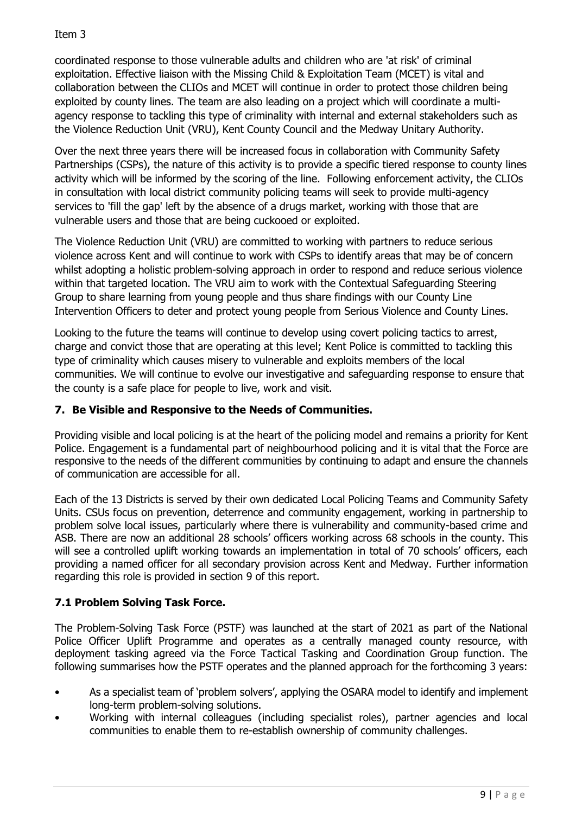coordinated response to those vulnerable adults and children who are 'at risk' of criminal exploitation. Effective liaison with the Missing Child & Exploitation Team (MCET) is vital and collaboration between the CLIOs and MCET will continue in order to protect those children being exploited by county lines. The team are also leading on a project which will coordinate a multiagency response to tackling this type of criminality with internal and external stakeholders such as the Violence Reduction Unit (VRU), Kent County Council and the Medway Unitary Authority.

Over the next three years there will be increased focus in collaboration with Community Safety Partnerships (CSPs), the nature of this activity is to provide a specific tiered response to county lines activity which will be informed by the scoring of the line. Following enforcement activity, the CLIOs in consultation with local district community policing teams will seek to provide multi-agency services to 'fill the gap' left by the absence of a drugs market, working with those that are vulnerable users and those that are being cuckooed or exploited.

The Violence Reduction Unit (VRU) are committed to working with partners to reduce serious violence across Kent and will continue to work with CSPs to identify areas that may be of concern whilst adopting a holistic problem-solving approach in order to respond and reduce serious violence within that targeted location. The VRU aim to work with the Contextual Safeguarding Steering Group to share learning from young people and thus share findings with our County Line Intervention Officers to deter and protect young people from Serious Violence and County Lines.

Looking to the future the teams will continue to develop using covert policing tactics to arrest, charge and convict those that are operating at this level; Kent Police is committed to tackling this type of criminality which causes misery to vulnerable and exploits members of the local communities. We will continue to evolve our investigative and safeguarding response to ensure that the county is a safe place for people to live, work and visit.

# **7. Be Visible and Responsive to the Needs of Communities.**

Providing visible and local policing is at the heart of the policing model and remains a priority for Kent Police. Engagement is a fundamental part of neighbourhood policing and it is vital that the Force are responsive to the needs of the different communities by continuing to adapt and ensure the channels of communication are accessible for all.

Each of the 13 Districts is served by their own dedicated Local Policing Teams and Community Safety Units. CSUs focus on prevention, deterrence and community engagement, working in partnership to problem solve local issues, particularly where there is vulnerability and community-based crime and ASB. There are now an additional 28 schools' officers working across 68 schools in the county. This will see a controlled uplift working towards an implementation in total of 70 schools' officers, each providing a named officer for all secondary provision across Kent and Medway. Further information regarding this role is provided in section 9 of this report.

# **7.1 Problem Solving Task Force.**

The Problem-Solving Task Force (PSTF) was launched at the start of 2021 as part of the National Police Officer Uplift Programme and operates as a centrally managed county resource, with deployment tasking agreed via the Force Tactical Tasking and Coordination Group function. The following summarises how the PSTF operates and the planned approach for the forthcoming 3 years:

- As a specialist team of 'problem solvers', applying the OSARA model to identify and implement long-term problem-solving solutions.
- Working with internal colleagues (including specialist roles), partner agencies and local communities to enable them to re-establish ownership of community challenges.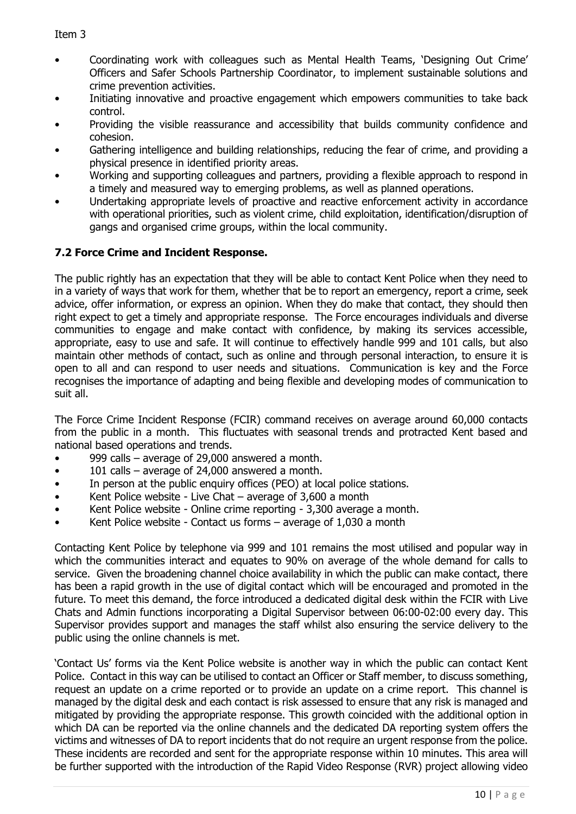- Coordinating work with colleagues such as Mental Health Teams, 'Designing Out Crime' Officers and Safer Schools Partnership Coordinator, to implement sustainable solutions and crime prevention activities.
- Initiating innovative and proactive engagement which empowers communities to take back control.
- Providing the visible reassurance and accessibility that builds community confidence and cohesion.
- Gathering intelligence and building relationships, reducing the fear of crime, and providing a physical presence in identified priority areas.
- Working and supporting colleagues and partners, providing a flexible approach to respond in a timely and measured way to emerging problems, as well as planned operations.
- Undertaking appropriate levels of proactive and reactive enforcement activity in accordance with operational priorities, such as violent crime, child exploitation, identification/disruption of gangs and organised crime groups, within the local community.

# **7.2 Force Crime and Incident Response.**

The public rightly has an expectation that they will be able to contact Kent Police when they need to in a variety of ways that work for them, whether that be to report an emergency, report a crime, seek advice, offer information, or express an opinion. When they do make that contact, they should then right expect to get a timely and appropriate response. The Force encourages individuals and diverse communities to engage and make contact with confidence, by making its services accessible, appropriate, easy to use and safe. It will continue to effectively handle 999 and 101 calls, but also maintain other methods of contact, such as online and through personal interaction, to ensure it is open to all and can respond to user needs and situations. Communication is key and the Force recognises the importance of adapting and being flexible and developing modes of communication to suit all.

The Force Crime Incident Response (FCIR) command receives on average around 60,000 contacts from the public in a month. This fluctuates with seasonal trends and protracted Kent based and national based operations and trends.

- 999 calls average of 29,000 answered a month.
- 101 calls average of  $24,000$  answered a month.
- In person at the public enquiry offices (PEO) at local police stations.
- Kent Police website Live Chat  $-$  average of 3,600 a month
- Kent Police website Online crime reporting 3,300 average a month.
- Kent Police website Contact us forms  $-$  average of 1,030 a month

Contacting Kent Police by telephone via 999 and 101 remains the most utilised and popular way in which the communities interact and equates to 90% on average of the whole demand for calls to service. Given the broadening channel choice availability in which the public can make contact, there has been a rapid growth in the use of digital contact which will be encouraged and promoted in the future. To meet this demand, the force introduced a dedicated digital desk within the FCIR with Live Chats and Admin functions incorporating a Digital Supervisor between 06:00-02:00 every day. This Supervisor provides support and manages the staff whilst also ensuring the service delivery to the public using the online channels is met.

'Contact Us' forms via the Kent Police website is another way in which the public can contact Kent Police. Contact in this way can be utilised to contact an Officer or Staff member, to discuss something, request an update on a crime reported or to provide an update on a crime report. This channel is managed by the digital desk and each contact is risk assessed to ensure that any risk is managed and mitigated by providing the appropriate response. This growth coincided with the additional option in which DA can be reported via the online channels and the dedicated DA reporting system offers the victims and witnesses of DA to report incidents that do not require an urgent response from the police. These incidents are recorded and sent for the appropriate response within 10 minutes. This area will be further supported with the introduction of the Rapid Video Response (RVR) project allowing video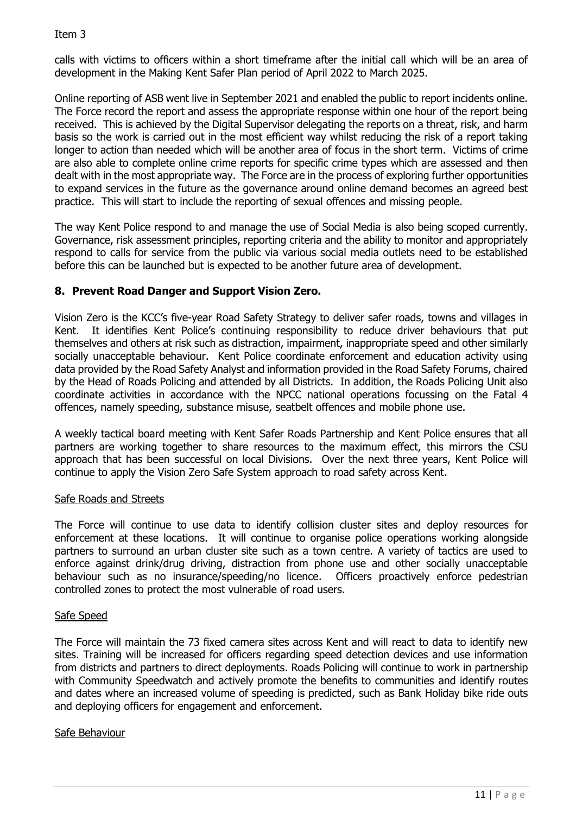calls with victims to officers within a short timeframe after the initial call which will be an area of development in the Making Kent Safer Plan period of April 2022 to March 2025.

Online reporting of ASB went live in September 2021 and enabled the public to report incidents online. The Force record the report and assess the appropriate response within one hour of the report being received. This is achieved by the Digital Supervisor delegating the reports on a threat, risk, and harm basis so the work is carried out in the most efficient way whilst reducing the risk of a report taking longer to action than needed which will be another area of focus in the short term. Victims of crime are also able to complete online crime reports for specific crime types which are assessed and then dealt with in the most appropriate way. The Force are in the process of exploring further opportunities to expand services in the future as the governance around online demand becomes an agreed best practice. This will start to include the reporting of sexual offences and missing people.

The way Kent Police respond to and manage the use of Social Media is also being scoped currently. Governance, risk assessment principles, reporting criteria and the ability to monitor and appropriately respond to calls for service from the public via various social media outlets need to be established before this can be launched but is expected to be another future area of development.

### **8. Prevent Road Danger and Support Vision Zero.**

Vision Zero is the KCC's five-year Road Safety Strategy to deliver safer roads, towns and villages in Kent. It identifies Kent Police's continuing responsibility to reduce driver behaviours that put themselves and others at risk such as distraction, impairment, inappropriate speed and other similarly socially unacceptable behaviour. Kent Police coordinate enforcement and education activity using data provided by the Road Safety Analyst and information provided in the Road Safety Forums, chaired by the Head of Roads Policing and attended by all Districts. In addition, the Roads Policing Unit also coordinate activities in accordance with the NPCC national operations focussing on the Fatal 4 offences, namely speeding, substance misuse, seatbelt offences and mobile phone use.

A weekly tactical board meeting with Kent Safer Roads Partnership and Kent Police ensures that all partners are working together to share resources to the maximum effect, this mirrors the CSU approach that has been successful on local Divisions. Over the next three years, Kent Police will continue to apply the Vision Zero Safe System approach to road safety across Kent.

#### Safe Roads and Streets

The Force will continue to use data to identify collision cluster sites and deploy resources for enforcement at these locations. It will continue to organise police operations working alongside partners to surround an urban cluster site such as a town centre. A variety of tactics are used to enforce against drink/drug driving, distraction from phone use and other socially unacceptable behaviour such as no insurance/speeding/no licence. Officers proactively enforce pedestrian controlled zones to protect the most vulnerable of road users.

#### Safe Speed

The Force will maintain the 73 fixed camera sites across Kent and will react to data to identify new sites. Training will be increased for officers regarding speed detection devices and use information from districts and partners to direct deployments. Roads Policing will continue to work in partnership with Community Speedwatch and actively promote the benefits to communities and identify routes and dates where an increased volume of speeding is predicted, such as Bank Holiday bike ride outs and deploying officers for engagement and enforcement.

#### Safe Behaviour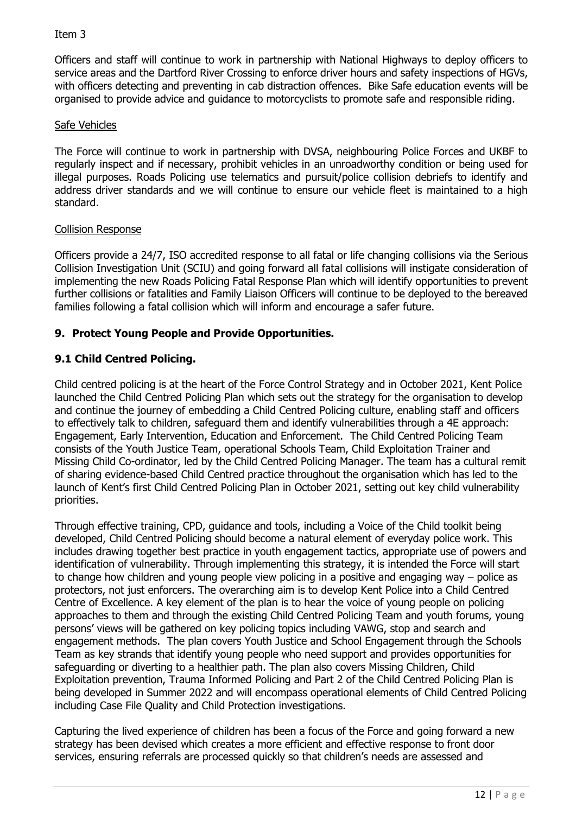Officers and staff will continue to work in partnership with National Highways to deploy officers to service areas and the Dartford River Crossing to enforce driver hours and safety inspections of HGVs, with officers detecting and preventing in cab distraction offences. Bike Safe education events will be organised to provide advice and guidance to motorcyclists to promote safe and responsible riding.

### Safe Vehicles

The Force will continue to work in partnership with DVSA, neighbouring Police Forces and UKBF to regularly inspect and if necessary, prohibit vehicles in an unroadworthy condition or being used for illegal purposes. Roads Policing use telematics and pursuit/police collision debriefs to identify and address driver standards and we will continue to ensure our vehicle fleet is maintained to a high standard.

### Collision Response

Officers provide a 24/7, ISO accredited response to all fatal or life changing collisions via the Serious Collision Investigation Unit (SCIU) and going forward all fatal collisions will instigate consideration of implementing the new Roads Policing Fatal Response Plan which will identify opportunities to prevent further collisions or fatalities and Family Liaison Officers will continue to be deployed to the bereaved families following a fatal collision which will inform and encourage a safer future.

# **9. Protect Young People and Provide Opportunities.**

# **9.1 Child Centred Policing.**

Child centred policing is at the heart of the Force Control Strategy and in October 2021, Kent Police launched the Child Centred Policing Plan which sets out the strategy for the organisation to develop and continue the journey of embedding a Child Centred Policing culture, enabling staff and officers to effectively talk to children, safeguard them and identify vulnerabilities through a 4E approach: Engagement, Early Intervention, Education and Enforcement. The Child Centred Policing Team consists of the Youth Justice Team, operational Schools Team, Child Exploitation Trainer and Missing Child Co-ordinator, led by the Child Centred Policing Manager. The team has a cultural remit of sharing evidence-based Child Centred practice throughout the organisation which has led to the launch of Kent's first Child Centred Policing Plan in October 2021, setting out key child vulnerability priorities.

Through effective training, CPD, guidance and tools, including a Voice of the Child toolkit being developed, Child Centred Policing should become a natural element of everyday police work. This includes drawing together best practice in youth engagement tactics, appropriate use of powers and identification of vulnerability. Through implementing this strategy, it is intended the Force will start to change how children and young people view policing in a positive and engaging way – police as protectors, not just enforcers. The overarching aim is to develop Kent Police into a Child Centred Centre of Excellence. A key element of the plan is to hear the voice of young people on policing approaches to them and through the existing Child Centred Policing Team and youth forums, young persons' views will be gathered on key policing topics including VAWG, stop and search and engagement methods. The plan covers Youth Justice and School Engagement through the Schools Team as key strands that identify young people who need support and provides opportunities for safeguarding or diverting to a healthier path. The plan also covers Missing Children, Child Exploitation prevention, Trauma Informed Policing and Part 2 of the Child Centred Policing Plan is being developed in Summer 2022 and will encompass operational elements of Child Centred Policing including Case File Quality and Child Protection investigations.

Capturing the lived experience of children has been a focus of the Force and going forward a new strategy has been devised which creates a more efficient and effective response to front door services, ensuring referrals are processed quickly so that children's needs are assessed and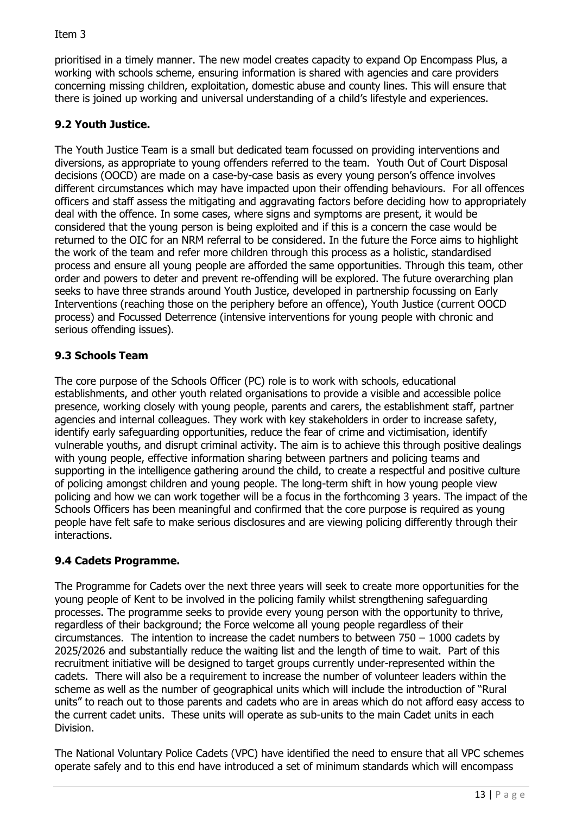prioritised in a timely manner. The new model creates capacity to expand Op Encompass Plus, a working with schools scheme, ensuring information is shared with agencies and care providers concerning missing children, exploitation, domestic abuse and county lines. This will ensure that there is joined up working and universal understanding of a child's lifestyle and experiences.

# **9.2 Youth Justice.**

The Youth Justice Team is a small but dedicated team focussed on providing interventions and diversions, as appropriate to young offenders referred to the team. Youth Out of Court Disposal decisions (OOCD) are made on a case-by-case basis as every young person's offence involves different circumstances which may have impacted upon their offending behaviours. For all offences officers and staff assess the mitigating and aggravating factors before deciding how to appropriately deal with the offence. In some cases, where signs and symptoms are present, it would be considered that the young person is being exploited and if this is a concern the case would be returned to the OIC for an NRM referral to be considered. In the future the Force aims to highlight the work of the team and refer more children through this process as a holistic, standardised process and ensure all young people are afforded the same opportunities. Through this team, other order and powers to deter and prevent re-offending will be explored. The future overarching plan seeks to have three strands around Youth Justice, developed in partnership focussing on Early Interventions (reaching those on the periphery before an offence), Youth Justice (current OOCD process) and Focussed Deterrence (intensive interventions for young people with chronic and serious offending issues).

# **9.3 Schools Team**

The core purpose of the Schools Officer (PC) role is to work with schools, educational establishments, and other youth related organisations to provide a visible and accessible police presence, working closely with young people, parents and carers, the establishment staff, partner agencies and internal colleagues. They work with key stakeholders in order to increase safety, identify early safeguarding opportunities, reduce the fear of crime and victimisation, identify vulnerable youths, and disrupt criminal activity. The aim is to achieve this through positive dealings with young people, effective information sharing between partners and policing teams and supporting in the intelligence gathering around the child, to create a respectful and positive culture of policing amongst children and young people. The long-term shift in how young people view policing and how we can work together will be a focus in the forthcoming 3 years. The impact of the Schools Officers has been meaningful and confirmed that the core purpose is required as young people have felt safe to make serious disclosures and are viewing policing differently through their interactions.

# **9.4 Cadets Programme.**

The Programme for Cadets over the next three years will seek to create more opportunities for the young people of Kent to be involved in the policing family whilst strengthening safeguarding processes. The programme seeks to provide every young person with the opportunity to thrive, regardless of their background; the Force welcome all young people regardless of their circumstances. The intention to increase the cadet numbers to between 750 – 1000 cadets by 2025/2026 and substantially reduce the waiting list and the length of time to wait. Part of this recruitment initiative will be designed to target groups currently under-represented within the cadets. There will also be a requirement to increase the number of volunteer leaders within the scheme as well as the number of geographical units which will include the introduction of "Rural units" to reach out to those parents and cadets who are in areas which do not afford easy access to the current cadet units. These units will operate as sub-units to the main Cadet units in each Division.

The National Voluntary Police Cadets (VPC) have identified the need to ensure that all VPC schemes operate safely and to this end have introduced a set of minimum standards which will encompass